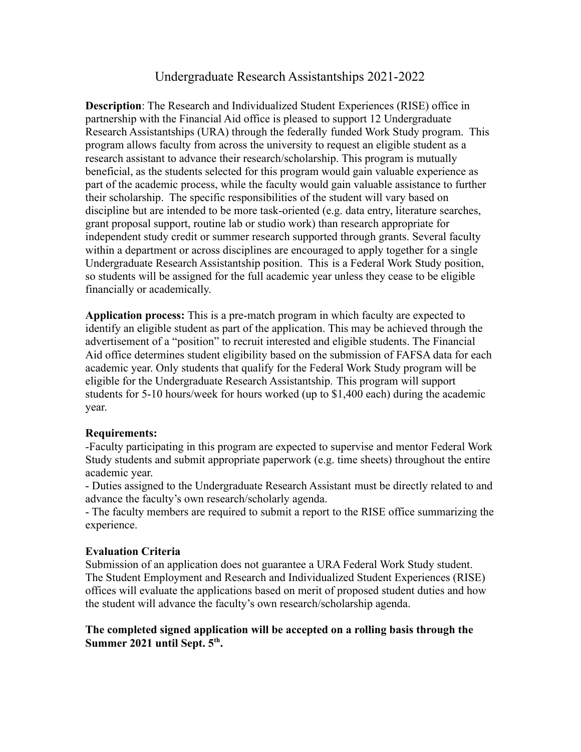## Undergraduate Research Assistantships 2021-2022

**Description**: The Research and Individualized Student Experiences (RISE) office in partnership with the Financial Aid office is pleased to support 12 Undergraduate Research Assistantships (URA) through the federally funded Work Study program. This program allows faculty from across the university to request an eligible student as a research assistant to advance their research/scholarship. This program is mutually beneficial, as the students selected for this program would gain valuable experience as part of the academic process, while the faculty would gain valuable assistance to further their scholarship. The specific responsibilities of the student will vary based on discipline but are intended to be more task-oriented (e.g. data entry, literature searches, grant proposal support, routine lab or studio work) than research appropriate for independent study credit or summer research supported through grants. Several faculty within a department or across disciplines are encouraged to apply together for a single Undergraduate Research Assistantship position. This is a Federal Work Study position, so students will be assigned for the full academic year unless they cease to be eligible financially or academically.

**Application process:** This is a pre-match program in which faculty are expected to identify an eligible student as part of the application. This may be achieved through the advertisement of a "position" to recruit interested and eligible students. The Financial Aid office determines student eligibility based on the submission of FAFSA data for each academic year. Only students that qualify for the Federal Work Study program will be eligible for the Undergraduate Research Assistantship. This program will support students for 5-10 hours/week for hours worked (up to \$1,400 each) during the academic year.

#### **Requirements:**

-Faculty participating in this program are expected to supervise and mentor Federal Work Study students and submit appropriate paperwork (e.g. time sheets) throughout the entire academic year.

- Duties assigned to the Undergraduate Research Assistant must be directly related to and advance the faculty's own research/scholarly agenda.

- The faculty members are required to submit a report to the RISE office summarizing the experience.

#### **Evaluation Criteria**

Submission of an application does not guarantee a URA Federal Work Study student. The Student Employment and Research and Individualized Student Experiences (RISE) offices will evaluate the applications based on merit of proposed student duties and how the student will advance the faculty's own research/scholarship agenda.

#### **The completed signed application will be accepted on a rolling basis through the Summer 2021 until Sept. 5th .**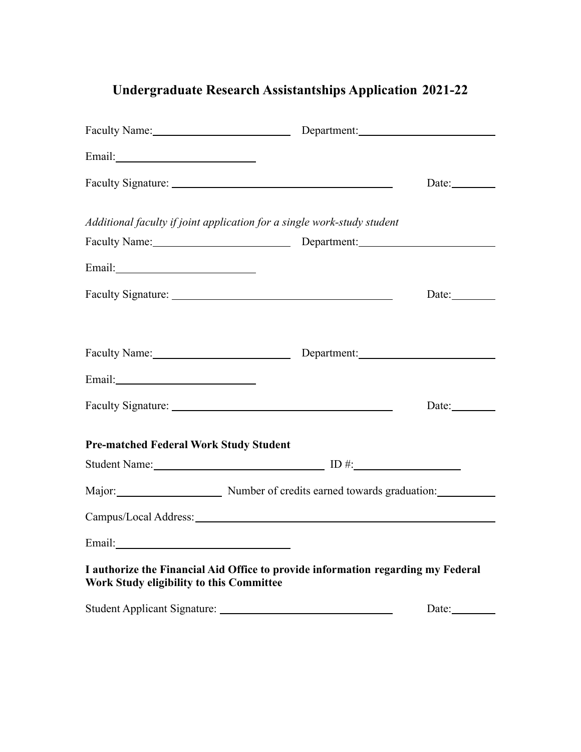# **Undergraduate Research Assistantships Application 2021-22**

| Faculty Name: Department: Department:                                                                                        |  |                                                  |
|------------------------------------------------------------------------------------------------------------------------------|--|--------------------------------------------------|
| Email: <u>Alexander School (2003)</u>                                                                                        |  |                                                  |
|                                                                                                                              |  | Date:                                            |
| Additional faculty if joint application for a single work-study student                                                      |  |                                                  |
|                                                                                                                              |  |                                                  |
|                                                                                                                              |  |                                                  |
|                                                                                                                              |  | Date: $\_\_\_\_\_\_\_\_\_\_\_\_\_\_\_\_\_\_\_\_$ |
| Faculty Name: Department: Department:                                                                                        |  |                                                  |
|                                                                                                                              |  |                                                  |
|                                                                                                                              |  | Date: $\_\_\_\_\_\_\_\_\_\_\_\_\_\_\_$           |
| <b>Pre-matched Federal Work Study Student</b>                                                                                |  |                                                  |
|                                                                                                                              |  |                                                  |
| Major: Number of credits earned towards graduation:                                                                          |  |                                                  |
|                                                                                                                              |  |                                                  |
| Email:                                                                                                                       |  |                                                  |
| I authorize the Financial Aid Office to provide information regarding my Federal<br>Work Study eligibility to this Committee |  |                                                  |
|                                                                                                                              |  | Date: $\_\_$                                     |